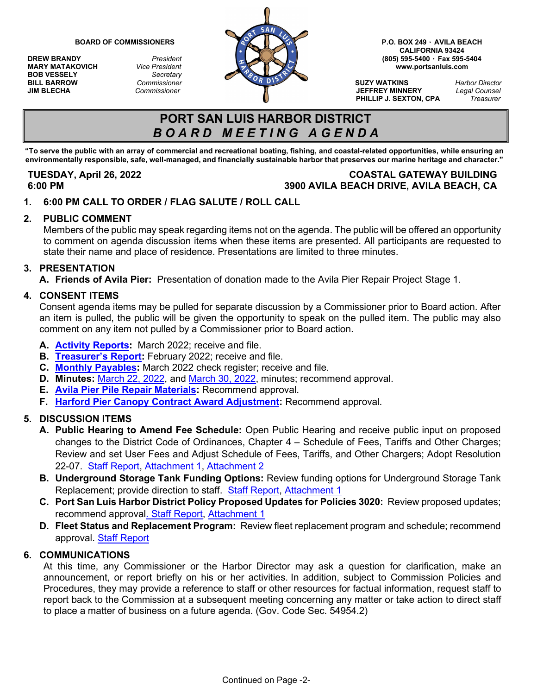**MARY MATAKOVICH** *Vice President*<br>**BOB VESSELY** *Secretary* **BOB VESSELY** *Secretary*



**CALIFORNIA 93424**

**PHILLIP J. SEXTON, CPA** *Treasurer*

# **PORT SAN LUIS HARBOR DISTRICT** *B O A R D M E E T I N G A G E N D A*

**"To serve the public with an array of commercial and recreational boating, fishing, and coastal-related opportunities, while ensuring an** environmentally responsible, safe, well-managed, and financially sustainable harbor that preserves our marine heritage and character."

## **TUESDAY, April 26, 2022 COASTAL GATEWAY BUILDING 6:00 PM 3900 AVILA BEACH DRIVE, AVILA BEACH, CA**

**1. 6:00 PM CALL TO ORDER / FLAG SALUTE / ROLL CALL**

### **2. PUBLIC COMMENT**

Members of the public may speak regarding items not on the agenda. The public will be offered an opportunity to comment on agenda discussion items when these items are presented. All participants are requested to state their name and place of residence. Presentations are limited to three minutes.

#### **3. PRESENTATION**

**A. Friends of Avila Pier:** Presentation of donation made to the Avila Pier Repair Project Stage 1.

#### **4. CONSENT ITEMS**

Consent agenda items may be pulled for separate discussion by a Commissioner prior to Board action. After an item is pulled, the public will be given the opportunity to speak on the pulled item. The public may also comment on any item not pulled by a Commissioner prior to Board action.

- **A. [Activity Reports:](https://www.portsanluis.com/DocumentCenter/View/6119/Consent-A---PSL-March-2022-Activity-Report)** March 2022; receive and file.
- **B. [Treasurer's Report:](https://www.portsanluis.com/DocumentCenter/View/6105/Consent-B---PSLHD-TR-022822)** February 2022; receive and file.
- **C. [Monthly Payables:](https://www.portsanluis.com/DocumentCenter/View/6106/Consent-C---Monthly-Payables-for-Mar-2022-042622-BOC)** March 2022 check register; receive and file.
- **D. Minutes:** [March 22, 2022,](https://www.portsanluis.com/DocumentCenter/View/6107/Consent-Da---032222-Meeting-Minutes-DRAFT) and [March 30, 2022,](https://www.portsanluis.com/DocumentCenter/View/6108/Consent-Db---03302022-Meeting-Minutes-DRAFT) minutes; recommend approval.
- **E. [Avila Pier Pile Repair Materials:](https://www.portsanluis.com/DocumentCenter/View/6109/Consent-E---Avila-Pier-Repair-Materials)** Recommend approval.
- **F. [Harford Pier Canopy Contract Award Adjustment:](https://www.portsanluis.com/DocumentCenter/View/6110/Consent-F---Harford-Pier-Canopy-Contract-Award-Adjustment)** Recommend approval.

### **5. DISCUSSION ITEMS**

- **A. Public Hearing to Amend Fee Schedule:** Open Public Hearing and receive public input on proposed changes to the District Code of Ordinances, Chapter 4 – Schedule of Fees, Tariffs and Other Charges; Review and set User Fees and Adjust Schedule of Fees, Tariffs, and Other Chargers; Adopt Resolution 22-07. [Staff Report,](https://www.portsanluis.com/DocumentCenter/View/6111/Disc-A---Staff-Report-COO-Chapter-4-Fees--final) [Attachment 1,](https://www.portsanluis.com/DocumentCenter/View/6112/Disc-A1-COO-Ch-4-Fee-Schedule-2022-Updates-final) [Attachment 2](https://www.portsanluis.com/DocumentCenter/View/6113/Disc-A2-Reso-22-07-Chapter-4-Fee-Schedule)
- **B. Underground Storage Tank Funding Options:** Review funding options for Underground Storage Tank Replacement; provide direction to staff. [Staff Report,](https://www.portsanluis.com/DocumentCenter/View/6114/Disc-B---UST-Replacement-Funding-Options-FINAL) [Attachment 1](https://www.portsanluis.com/DocumentCenter/View/6115/Disc-Ba---JS20-PRO-027-Port-San-Luis-Budget-Only-revised-041522)
- **C. Port San Luis Harbor District Policy Proposed Updates for Policies 3020:** Review proposed updates; recommend approv[al. Staff Report,](https://www.portsanluis.com/DocumentCenter/View/6116/Disc-C---Staff-Report---Policy-3020-Update-42622) [Attachment 1](https://www.portsanluis.com/DocumentCenter/View/6117/Disc-Ca---3020-Budget-Preparation)
- **D. Fleet Status and Replacement Program:**Review fleet replacement program and schedule; recommend approval. [Staff Report](https://www.portsanluis.com/DocumentCenter/View/6118/Disc-D---Fleet-Status-and-Replacement-Program-FINAL)

### **6. COMMUNICATIONS**

At this time, any Commissioner or the Harbor Director may ask a question for clarification, make an announcement, or report briefly on his or her activities. In addition, subject to Commission Policies and Procedures, they may provide a reference to staff or other resources for factual information, request staff to report back to the Commission at a subsequent meeting concerning any matter or take action to direct staff to place a matter of business on a future agenda. (Gov. Code Sec. 54954.2)